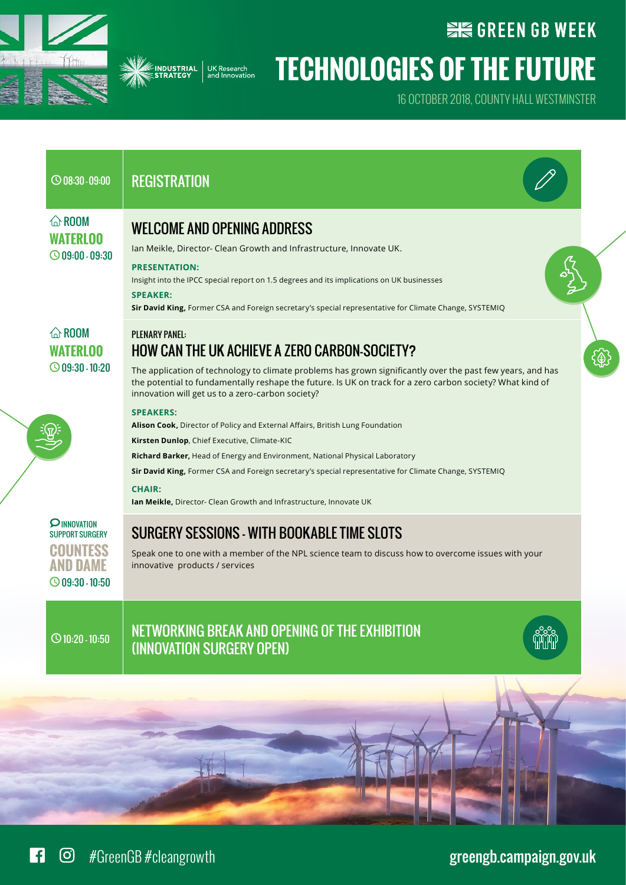



## **SIG GREEN GB WEEK**

## **Technologies of the future**

16 October 2018, County Hall Westminster

| $\bigcirc$ 08:30 - 09:00                                                             | <b>REGISTRATION</b>                                                                                                                                                                                                                                                                                                                                                                                                                |
|--------------------------------------------------------------------------------------|------------------------------------------------------------------------------------------------------------------------------------------------------------------------------------------------------------------------------------------------------------------------------------------------------------------------------------------------------------------------------------------------------------------------------------|
| $\hat{\omega}$ ROOM<br>WATERLOO<br>$\bigcirc$ 09:00 - 09:30                          | <b>WELCOME AND OPENING ADDRESS</b><br>Ian Meikle, Director- Clean Growth and Infrastructure, Innovate UK.<br><b>PRESENTATION:</b><br>Insight into the IPCC special report on 1.5 degrees and its implications on UK businesses<br><b>SPEAKER:</b><br>Sir David King, Former CSA and Foreign secretary's special representative for Climate Change, SYSTEMIQ                                                                        |
| $\hat{a}$ ROOM<br><b>WATERLOO</b><br>$\bigcirc$ 09:30 - 10:20                        | <b>PLENARY PANEL:</b><br>HOW CAN THE UK ACHIEVE A ZERO CARBON-SOCIETY?<br>The application of technology to climate problems has grown significantly over the past few years, and has<br>the potential to fundamentally reshape the future. Is UK on track for a zero carbon society? What kind of<br>innovation will get us to a zero-carbon society?                                                                              |
|                                                                                      | <b>SPEAKERS:</b><br>Alison Cook, Director of Policy and External Affairs, British Lung Foundation<br>Kirsten Dunlop, Chief Executive, Climate-KIC<br>Richard Barker, Head of Energy and Environment, National Physical Laboratory<br>Sir David King, Former CSA and Foreign secretary's special representative for Climate Change, SYSTEMIQ<br><b>CHAIR:</b><br>Ian Meikle, Director- Clean Growth and Infrastructure, Innovate UK |
| <b>PINNOVATION</b><br><b>SUPPORT SURGERY</b><br>HOUNTESS<br>$\bigcirc$ 09:30 - 10:50 | <b>SURGERY SESSIONS - WITH BOOKABLE TIME SLOTS</b><br>Speak one to one with a member of the NPL science team to discuss how to overcome issues with your<br>innovative products / services                                                                                                                                                                                                                                         |
| $\odot$ 10:20 - 10:50                                                                | NETWORKING BREAK AND OPENING OF THE EXHIBITION<br>(INNOVATION SURGERY OPEN)                                                                                                                                                                                                                                                                                                                                                        |
|                                                                                      |                                                                                                                                                                                                                                                                                                                                                                                                                                    |
|                                                                                      |                                                                                                                                                                                                                                                                                                                                                                                                                                    |

#GreenGB #cleangrowth [greengb.campaign.gov.uk](https://greengb.campaign.gov.uk)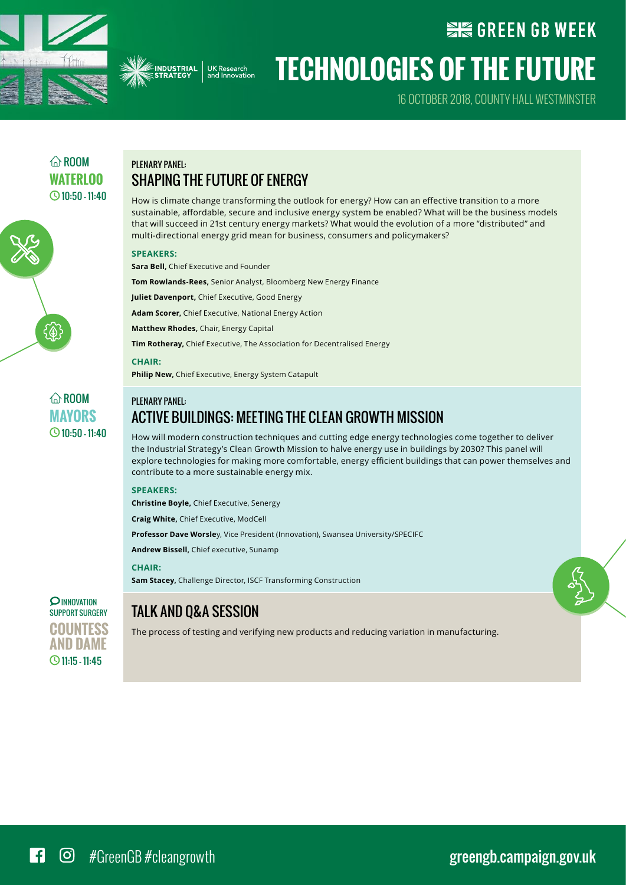



16 October 2018, County Hall Westminster

**WE GREEN GB WEEK** 

## $\widehat{\wedge}$  ROOM WATFRI<sub>00</sub>  $\bigcirc$  10:50 - 11:40

## Plenary panel: Shaping the future of energy

How is climate change transforming the outlook for energy? How can an effective transition to a more sustainable, affordable, secure and inclusive energy system be enabled? What will be the business models that will succeed in 21st century energy markets? What would the evolution of a more "distributed" and multi-directional energy grid mean for business, consumers and policymakers?

#### **Speakers:**

**Sara Bell,** Chief Executive and Founder

**Tom Rowlands-Rees,** Senior Analyst, Bloomberg New Energy Finance

**Juliet Davenport,** Chief Executive, Good Energy

**Adam Scorer,** Chief Executive, National Energy Action

**Matthew Rhodes,** Chair, Energy Capital

**Tim Rotheray,** Chief Executive, The Association for Decentralised Energy

#### **Chair:**

**Philip New,** Chief Executive, Energy System Catapult

 $\widehat{\bigcirc}$  ROOM **Mayors**  $\bigcirc$  10:50 - 11:40

{๊()

## PI FNARV PANFI: Active buildings: meeting the Clean Growth Mission

How will modern construction techniques and cutting edge energy technologies come together to deliver the Industrial Strategy's Clean Growth Mission to halve energy use in buildings by 2030? This panel will explore technologies for making more comfortable, energy efficient buildings that can power themselves and contribute to a more sustainable energy mix.

#### **Speakers:**

**Christine Boyle,** Chief Executive, Senergy

**Craig White,** Chief Executive, ModCell

**Professor Dave Worsle**y, Vice President (Innovation), Swansea University/SPECIFC

**Andrew Bissell,** Chief executive, Sunamp

#### **Chair:**

**Sam Stacey,** Challenge Director, ISCF Transforming Construction

### **PINNOVATION** Support Surgery **Countess and Dame** 11:15 – 11:45

## Talk and Q&A session

The process of testing and verifying new products and reducing variation in manufacturing.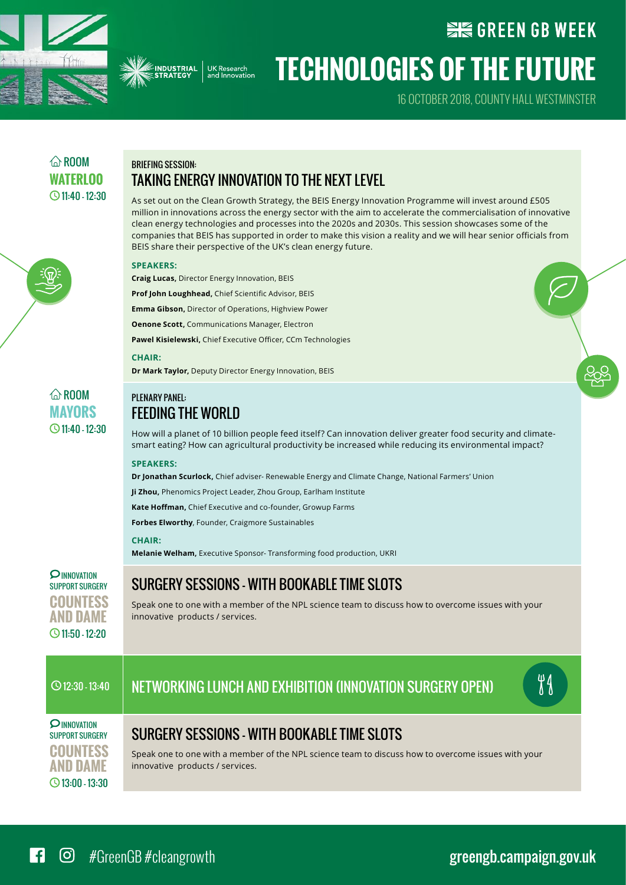



16 October 2018, County Hall Westminster

**WE GREEN GB WEEK** 

## $\widehat{\wedge}$  ROOM WATFRI<sub>00</sub> 11:40 - 12:30

## Briefing session: Taking energy innovation to the next level

As set out on the Clean Growth Strategy, the BEIS Energy Innovation Programme will invest around £505 million in innovations across the energy sector with the aim to accelerate the commercialisation of innovative clean energy technologies and processes into the 2020s and 2030s. This session showcases some of the companies that BEIS has supported in order to make this vision a reality and we will hear senior officials from BEIS share their perspective of the UK's clean energy future.

#### **Speakers:**

**Craig Lucas,** Director Energy Innovation, BEIS

**Prof John Loughhead,** Chief Scientific Advisor, BEIS

**Emma Gibson,** Director of Operations, Highview Power

**Oenone Scott,** Communications Manager, Electron

**Pawel Kisielewski,** Chief Executive Officer, CCm Technologies

#### **Chair:**

**Dr Mark Taylor,** Deputy Director Energy Innovation, BEIS

### $\bigcirc$  11:40 - 12:30 Plenary panel: **FFEDING THE WORLD**

How will a planet of 10 billion people feed itself? Can innovation deliver greater food security and climatesmart eating? How can agricultural productivity be increased while reducing its environmental impact?

#### **Speakers:**

**Dr Jonathan Scurlock,** Chief adviser- Renewable Energy and Climate Change, National Farmers' Union

**Ji Zhou,** Phenomics Project Leader, Zhou Group, Earlham Institute

**Kate Hoffman,** Chief Executive and co-founder, Growup Farms

**Forbes Elworthy**, Founder, Craigmore Sustainables

#### **Chair:**

**Melanie Welham,** Executive Sponsor- Transforming food production, UKRI

**PINNOVATION** Support Surgery **Countess and Dame** 11:50 – 12:20

 $\hat{\omega}$  ROOM **Mayors**

## Surgery sessions – with bookable time slots

Speak one to one with a member of the NPL science team to discuss how to overcome issues with your innovative products / services.

## $\circ$ 12:30 - 13:40  $\parallel$  NFTWORKING I LINCH AND EXHIBITION (INNOVATION SURGERY OPEN)



**O INNOVATION** Support Surgery **Countess and Dame** 13:00 – 13:30

Surgery sessions – with bookable time slots

Speak one to one with a member of the NPL science team to discuss how to overcome issues with your innovative products / services.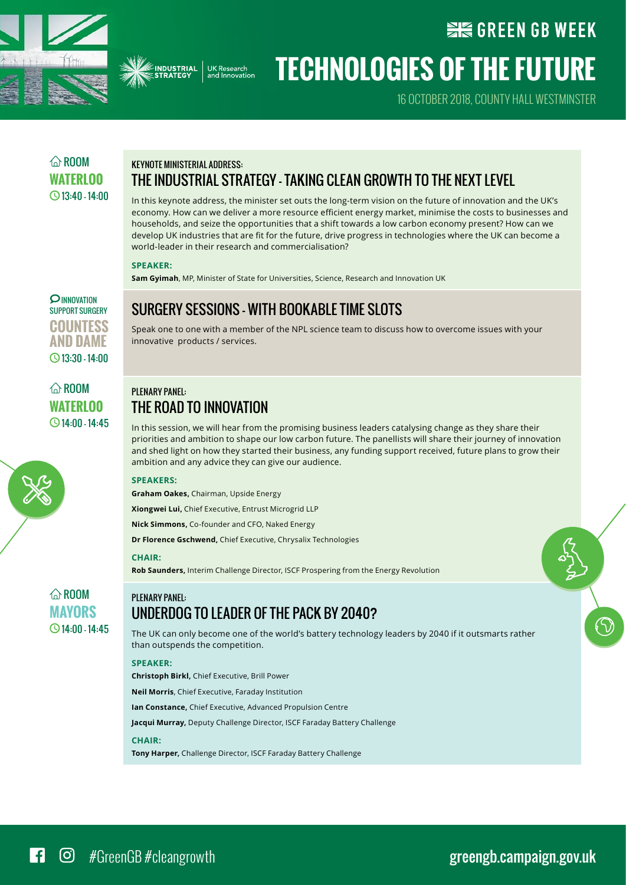



16 October 2018, County Hall Westminster

**WE GREEN GB WEEK** 

## $\widehat{\wedge}$  ROOM WATFRI<sub>00</sub>  $Q$ 13:40 - 14:00

## Keynote ministerial address: The industrial strategy - taking clean growth to the next level

In this keynote address, the minister set outs the long-term vision on the future of innovation and the UK's economy. How can we deliver a more resource efficient energy market, minimise the costs to businesses and households, and seize the opportunities that a shift towards a low carbon economy present? How can we develop UK industries that are fit for the future, drive progress in technologies where the UK can become a world-leader in their research and commercialisation?

#### **Speaker:**

**Sam Gyimah**, MP, Minister of State for Universities, Science, Research and Innovation UK

**O INNOVATION** Support Surgery **Countess and Dame** 13:30 – 14:00

 $\widehat{\wedge}$  ROOM **Waterlo0**  $Q$ 14:00 - 14:45 Surgery sessions – with bookable time slots Speak one to one with a member of the NPL science team to discuss how to overcome issues with your

## Plenary panel: The road to innovation

innovative products / services.

In this session, we will hear from the promising business leaders catalysing change as they share their priorities and ambition to shape our low carbon future. The panellists will share their journey of innovation and shed light on how they started their business, any funding support received, future plans to grow their ambition and any advice they can give our audience.

#### **Speakers:**

**Graham Oakes,** Chairman, Upside Energy

**Xiongwei Lui,** Chief Executive, Entrust Microgrid LLP

**Nick Simmons,** Co-founder and CFO, Naked Energy

**Dr Florence Gschwend,** Chief Executive, Chrysalix Technologies

#### **Chair:**

**Rob Saunders,** Interim Challenge Director, ISCF Prospering from the Energy Revolution

### $\widehat{\wedge}$  ROOM **Mayors**  $\bigcirc$  14:00 - 14:45

## Underdog to leader of the pack by 2040?

The UK can only become one of the world's battery technology leaders by 2040 if it outsmarts rather than outspends the competition.

#### **Speaker:**

PI FNARY PANFI:

**Christoph Birkl,** Chief Executive, Brill Power

**Neil Morris**, Chief Executive, Faraday Institution

**Ian Constance,** Chief Executive, Advanced Propulsion Centre

**Jacqui Murray,** Deputy Challenge Director, ISCF Faraday Battery Challenge

#### **Chair:**

**Tony Harper,** Challenge Director, ISCF Faraday Battery Challenge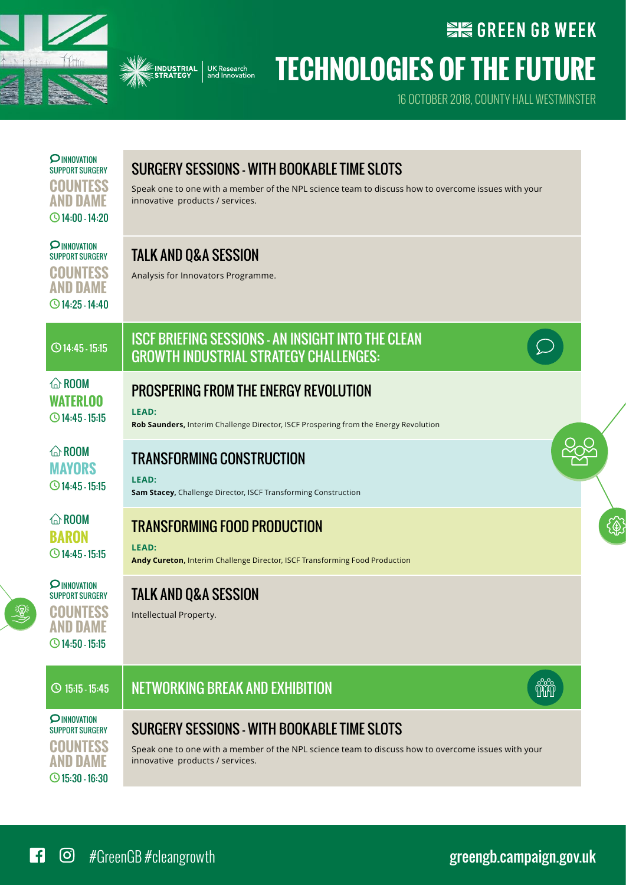



## **SIG GREEN GB WEEK Technologies of the future**

16 October 2018, County Hall Westminster

| <b>PINNOVATION</b><br><b>SUPPORT SURGERY</b><br><b>COUNTESS</b><br><b>AND DAME</b><br>$\bigcirc$ 14:00 - 14:20 | SURGERY SESSIONS - WITH BOOKABLE TIME SLOTS<br>Speak one to one with a member of the NPL science team to discuss how to overcome issues with your<br>innovative products / services. |  |
|----------------------------------------------------------------------------------------------------------------|--------------------------------------------------------------------------------------------------------------------------------------------------------------------------------------|--|
| <b>PINNOVATION</b><br><b>SUPPORT SURGERY</b><br><b>COUNTESS</b><br><b>AND DAME</b><br>$\bigcirc$ 14:25 - 14:40 | <b>TALK AND Q&amp;A SESSION</b><br>Analysis for Innovators Programme.                                                                                                                |  |
| $\bigcirc$ 14:45 - 15:15                                                                                       | <b>ISCF BRIEFING SESSIONS - AN INSIGHT INTO THE CLEAN</b><br><b>GROWTH INDUSTRIAL STRATEGY CHALLENGES:</b>                                                                           |  |
| $\hat{\omega}$ ROOM<br><b>WATERLOO</b><br>$\bigcirc$ 14:45 - 15:15                                             | <b>PROSPERING FROM THE ENERGY REVOLUTION</b><br>LEAD:<br>Rob Saunders, Interim Challenge Director, ISCF Prospering from the Energy Revolution                                        |  |
| $\hat{\omega}$ ROOM<br><b>MAYORS</b><br>$\bigcirc$ 14:45 - 15:15                                               | <b>TRANSFORMING CONSTRUCTION</b><br>LEAD:<br>Sam Stacey, Challenge Director, ISCF Transforming Construction                                                                          |  |
| $\hat{\omega}$ ROOM<br><b>BARON</b><br>$\bigcirc$ 14:45 - 15:15                                                | <b>TRANSFORMING FOOD PRODUCTION</b><br>LEAD:<br>Andy Cureton, Interim Challenge Director, ISCF Transforming Food Production                                                          |  |
| <b>PINNOVATION</b><br><b>SUPPORT SURGERY</b><br><b>COUNTESS</b><br><b>AND DAME</b><br>$\bigcirc$ 14:50 - 15:15 | <b>TALK AND Q&amp;A SESSION</b><br>Intellectual Property.                                                                                                                            |  |
| $\circ$ 15:15 - 15:45                                                                                          | <b>HAN</b><br><b>NETWORKING BREAK AND EXHIBITION</b>                                                                                                                                 |  |
| <b>PINNOVATION</b><br><b>SUPPORT SURGERY</b><br><b>COUNTESS</b><br><b>AND DAME</b><br>$\bigcirc$ 15:30 - 16:30 | SURGERY SESSIONS - WITH BOOKABLE TIME SLOTS<br>Speak one to one with a member of the NPL science team to discuss how to overcome issues with your<br>innovative products / services. |  |

#GreenGB #cleangrowth [greengb.campaign.gov.uk](https://greengb.campaign.gov.uk)